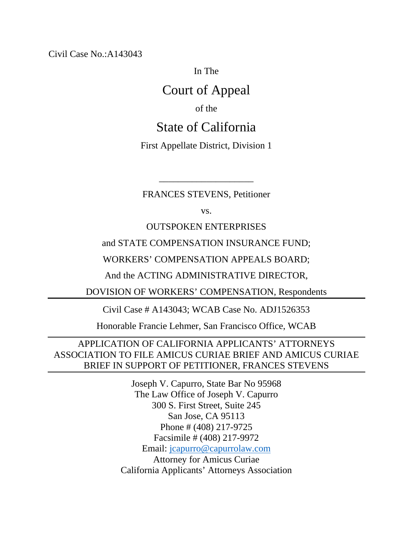Civil Case No.:A143043

In The

## Court of Appeal

of the

## State of California

First Appellate District, Division 1

FRANCES STEVENS, Petitioner

\_\_\_\_\_\_\_\_\_\_\_\_\_\_\_\_\_\_\_\_

vs.

OUTSPOKEN ENTERPRISES

and STATE COMPENSATION INSURANCE FUND;

WORKERS' COMPENSATION APPEALS BOARD;

And the ACTING ADMINISTRATIVE DIRECTOR,

DOVISION OF WORKERS' COMPENSATION, Respondents

Civil Case # A143043; WCAB Case No. ADJ1526353

Honorable Francie Lehmer, San Francisco Office, WCAB

### APPLICATION OF CALIFORNIA APPLICANTS' ATTORNEYS ASSOCIATION TO FILE AMICUS CURIAE BRIEF AND AMICUS CURIAE BRIEF IN SUPPORT OF PETITIONER, FRANCES STEVENS

Joseph V. Capurro, State Bar No 95968 The Law Office of Joseph V. Capurro 300 S. First Street, Suite 245 San Jose, CA 95113 Phone # (408) 217-9725 Facsimile # (408) 217-9972 Email: [jcapurro@capurrolaw.com](mailto:jcapurro@capurrolaw.com) Attorney for Amicus Curiae California Applicants' Attorneys Association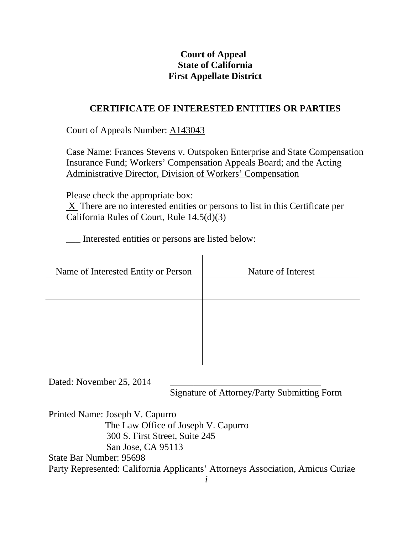## **Court of Appeal State of California First Appellate District**

### **CERTIFICATE OF INTERESTED ENTITIES OR PARTIES**

Court of Appeals Number: A143043

Case Name: Frances Stevens v. Outspoken Enterprise and State Compensation Insurance Fund; Workers' Compensation Appeals Board; and the Acting Administrative Director, Division of Workers' Compensation

Please check the appropriate box:

 $X$  There are no interested entities or persons to list in this Certificate per California Rules of Court, Rule 14.5(d)(3)

\_\_\_ Interested entities or persons are listed below:

| Name of Interested Entity or Person | Nature of Interest |
|-------------------------------------|--------------------|
|                                     |                    |
|                                     |                    |
|                                     |                    |
|                                     |                    |

Dated: November 25, 2014

Signature of Attorney/Party Submitting Form

Printed Name: Joseph V. Capurro The Law Office of Joseph V. Capurro 300 S. First Street, Suite 245 San Jose, CA 95113 State Bar Number: 95698 Party Represented: California Applicants' Attorneys Association, Amicus Curiae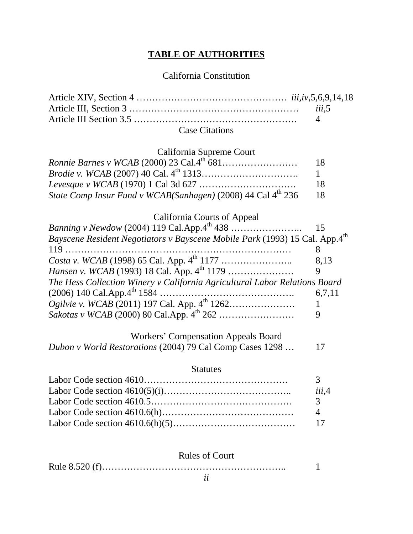## **TABLE OF AUTHORITIES**

## California Constitution

| <b>Case Citations</b> |  |
|-----------------------|--|

### California Supreme Court

|                                                                          | 18              |
|--------------------------------------------------------------------------|-----------------|
|                                                                          | $\sim$ 1 $\sim$ |
|                                                                          | 18.             |
| State Comp Insur Fund v WCAB(Sanhagen) (2008) 44 Cal 4 <sup>th</sup> 236 | -18             |

## California Courts of Appeal

| Bayscene Resident Negotiators v Bayscene Mobile Park (1993) 15 Cal. App.4th |        |
|-----------------------------------------------------------------------------|--------|
|                                                                             |        |
|                                                                             | 8.13   |
|                                                                             | 9      |
| The Hess Collection Winery v California Agricultural Labor Relations Board  |        |
|                                                                             | 6,7,11 |
|                                                                             |        |
|                                                                             | 9      |

### Workers' Compensation Appeals Board

### **Statutes**

| iii.4 |
|-------|
|       |
|       |
|       |

### Rules of Court

|--|--|

*Dubon v World Restorations* (2004) 79 Cal Comp Cases 1298 … 17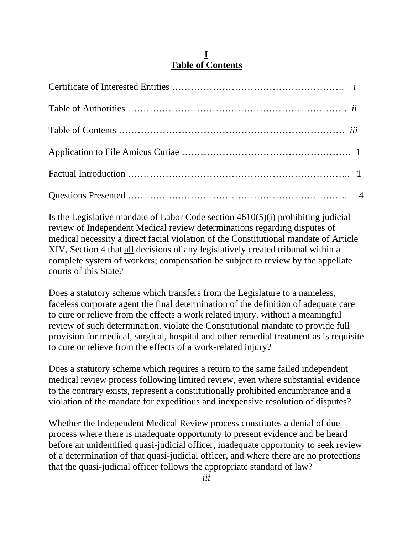### **I Table of Contents**

Is the Legislative mandate of Labor Code section 4610(5)(i) prohibiting judicial review of Independent Medical review determinations regarding disputes of medical necessity a direct facial violation of the Constitutional mandate of Article XIV, Section 4 that all decisions of any legislatively created tribunal within a complete system of workers; compensation be subject to review by the appellate courts of this State?

Does a statutory scheme which transfers from the Legislature to a nameless, faceless corporate agent the final determination of the definition of adequate care to cure or relieve from the effects a work related injury, without a meaningful review of such determination, violate the Constitutional mandate to provide full provision for medical, surgical, hospital and other remedial treatment as is requisite to cure or relieve from the effects of a work-related injury?

Does a statutory scheme which requires a return to the same failed independent medical review process following limited review, even where substantial evidence to the contrary exists, represent a constitutionally prohibited encumbrance and a violation of the mandate for expeditious and inexpensive resolution of disputes?

Whether the Independent Medical Review process constitutes a denial of due process where there is inadequate opportunity to present evidence and be heard before an unidentified quasi-judicial officer, inadequate opportunity to seek review of a determination of that quasi-judicial officer, and where there are no protections that the quasi-judicial officer follows the appropriate standard of law?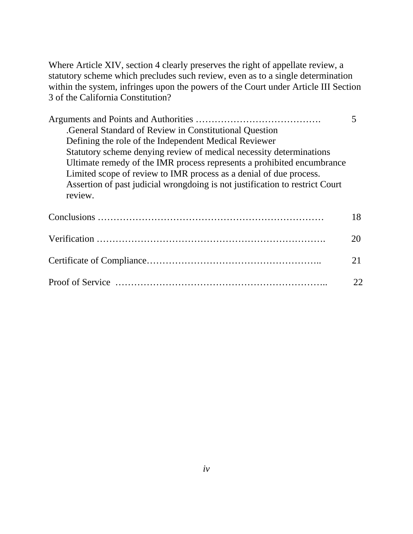Where Article XIV, section 4 clearly preserves the right of appellate review, a statutory scheme which precludes such review, even as to a single determination within the system, infringes upon the powers of the Court under Article III Section 3 of the California Constitution?

| General Standard of Review in Constitutional Question                        |    |
|------------------------------------------------------------------------------|----|
| Defining the role of the Independent Medical Reviewer                        |    |
| Statutory scheme denying review of medical necessity determinations          |    |
| Ultimate remedy of the IMR process represents a prohibited encumbrance       |    |
| Limited scope of review to IMR process as a denial of due process.           |    |
| Assertion of past judicial wrongdoing is not justification to restrict Court |    |
| review.                                                                      |    |
|                                                                              |    |
|                                                                              | 18 |
|                                                                              |    |
|                                                                              | 20 |
|                                                                              |    |
|                                                                              | 21 |
|                                                                              |    |
|                                                                              | 22 |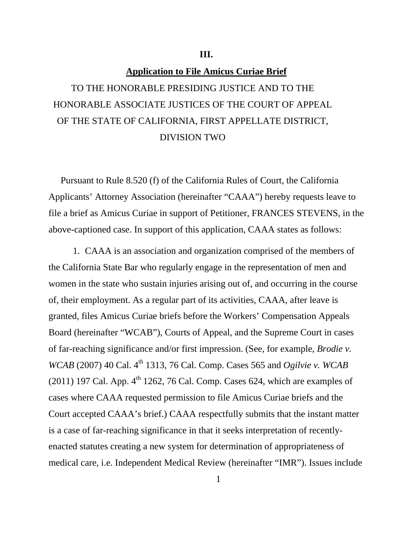#### **III.**

#### **Application to File Amicus Curiae Brief**

# TO THE HONORABLE PRESIDING JUSTICE AND TO THE HONORABLE ASSOCIATE JUSTICES OF THE COURT OF APPEAL OF THE STATE OF CALIFORNIA, FIRST APPELLATE DISTRICT, DIVISION TWO

Pursuant to Rule 8.520 (f) of the California Rules of Court, the California Applicants' Attorney Association (hereinafter "CAAA") hereby requests leave to file a brief as Amicus Curiae in support of Petitioner, FRANCES STEVENS, in the above-captioned case. In support of this application, CAAA states as follows:

1. CAAA is an association and organization comprised of the members of the California State Bar who regularly engage in the representation of men and women in the state who sustain injuries arising out of, and occurring in the course of, their employment. As a regular part of its activities, CAAA, after leave is granted, files Amicus Curiae briefs before the Workers' Compensation Appeals Board (hereinafter "WCAB"), Courts of Appeal, and the Supreme Court in cases of far-reaching significance and/or first impression. (See, for example, *Brodie v. WCAB* (2007) 40 Cal. 4<sup>th</sup> 1313, 76 Cal. Comp. Cases 565 and *Ogilvie v. WCAB* (2011) 197 Cal. App.  $4<sup>th</sup>$  1262, 76 Cal. Comp. Cases 624, which are examples of cases where CAAA requested permission to file Amicus Curiae briefs and the Court accepted CAAA's brief.) CAAA respectfully submits that the instant matter is a case of far-reaching significance in that it seeks interpretation of recentlyenacted statutes creating a new system for determination of appropriateness of medical care, i.e. Independent Medical Review (hereinafter "IMR"). Issues include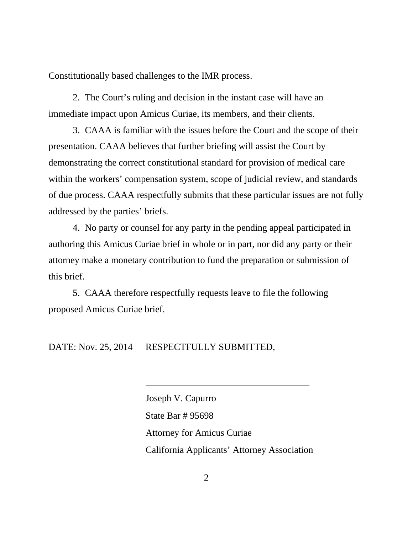Constitutionally based challenges to the IMR process.

2. The Court's ruling and decision in the instant case will have an immediate impact upon Amicus Curiae, its members, and their clients.

3. CAAA is familiar with the issues before the Court and the scope of their presentation. CAAA believes that further briefing will assist the Court by demonstrating the correct constitutional standard for provision of medical care within the workers' compensation system, scope of judicial review, and standards of due process. CAAA respectfully submits that these particular issues are not fully addressed by the parties' briefs.

4. No party or counsel for any party in the pending appeal participated in authoring this Amicus Curiae brief in whole or in part, nor did any party or their attorney make a monetary contribution to fund the preparation or submission of this brief.

5. CAAA therefore respectfully requests leave to file the following proposed Amicus Curiae brief.

DATE: Nov. 25, 2014 RESPECTFULLY SUBMITTED,

Joseph V. Capurro State Bar # 95698 Attorney for Amicus Curiae California Applicants' Attorney Association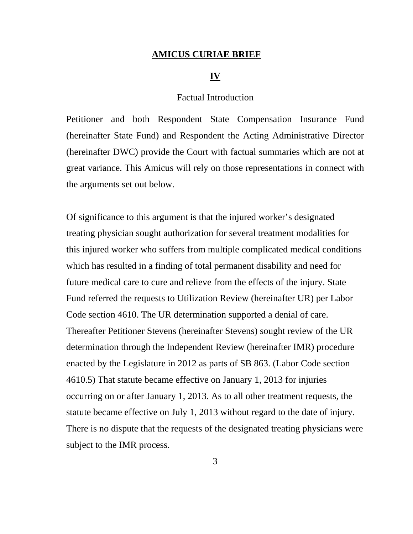#### **AMICUS CURIAE BRIEF**

#### **IV**

#### Factual Introduction

Petitioner and both Respondent State Compensation Insurance Fund (hereinafter State Fund) and Respondent the Acting Administrative Director (hereinafter DWC) provide the Court with factual summaries which are not at great variance. This Amicus will rely on those representations in connect with the arguments set out below.

Of significance to this argument is that the injured worker's designated treating physician sought authorization for several treatment modalities for this injured worker who suffers from multiple complicated medical conditions which has resulted in a finding of total permanent disability and need for future medical care to cure and relieve from the effects of the injury. State Fund referred the requests to Utilization Review (hereinafter UR) per Labor Code section 4610. The UR determination supported a denial of care. Thereafter Petitioner Stevens (hereinafter Stevens) sought review of the UR determination through the Independent Review (hereinafter IMR) procedure enacted by the Legislature in 2012 as parts of SB 863. (Labor Code section 4610.5) That statute became effective on January 1, 2013 for injuries occurring on or after January 1, 2013. As to all other treatment requests, the statute became effective on July 1, 2013 without regard to the date of injury. There is no dispute that the requests of the designated treating physicians were subject to the IMR process.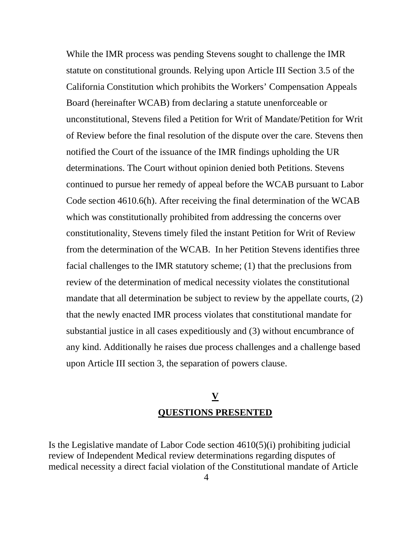While the IMR process was pending Stevens sought to challenge the IMR statute on constitutional grounds. Relying upon Article III Section 3.5 of the California Constitution which prohibits the Workers' Compensation Appeals Board (hereinafter WCAB) from declaring a statute unenforceable or unconstitutional, Stevens filed a Petition for Writ of Mandate/Petition for Writ of Review before the final resolution of the dispute over the care. Stevens then notified the Court of the issuance of the IMR findings upholding the UR determinations. The Court without opinion denied both Petitions. Stevens continued to pursue her remedy of appeal before the WCAB pursuant to Labor Code section 4610.6(h). After receiving the final determination of the WCAB which was constitutionally prohibited from addressing the concerns over constitutionality, Stevens timely filed the instant Petition for Writ of Review from the determination of the WCAB. In her Petition Stevens identifies three facial challenges to the IMR statutory scheme; (1) that the preclusions from review of the determination of medical necessity violates the constitutional mandate that all determination be subject to review by the appellate courts, (2) that the newly enacted IMR process violates that constitutional mandate for substantial justice in all cases expeditiously and (3) without encumbrance of any kind. Additionally he raises due process challenges and a challenge based upon Article III section 3, the separation of powers clause.

## **V QUESTIONS PRESENTED**

Is the Legislative mandate of Labor Code section 4610(5)(i) prohibiting judicial review of Independent Medical review determinations regarding disputes of medical necessity a direct facial violation of the Constitutional mandate of Article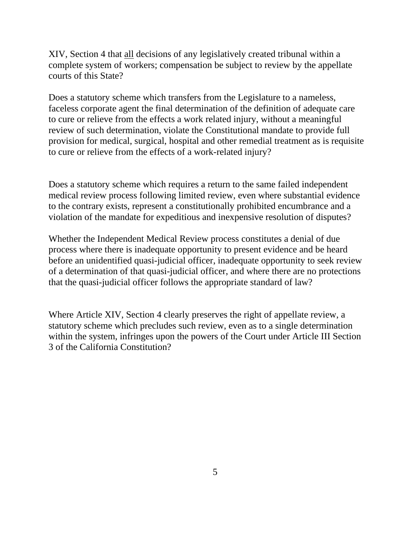XIV, Section 4 that all decisions of any legislatively created tribunal within a complete system of workers; compensation be subject to review by the appellate courts of this State?

Does a statutory scheme which transfers from the Legislature to a nameless, faceless corporate agent the final determination of the definition of adequate care to cure or relieve from the effects a work related injury, without a meaningful review of such determination, violate the Constitutional mandate to provide full provision for medical, surgical, hospital and other remedial treatment as is requisite to cure or relieve from the effects of a work-related injury?

Does a statutory scheme which requires a return to the same failed independent medical review process following limited review, even where substantial evidence to the contrary exists, represent a constitutionally prohibited encumbrance and a violation of the mandate for expeditious and inexpensive resolution of disputes?

Whether the Independent Medical Review process constitutes a denial of due process where there is inadequate opportunity to present evidence and be heard before an unidentified quasi-judicial officer, inadequate opportunity to seek review of a determination of that quasi-judicial officer, and where there are no protections that the quasi-judicial officer follows the appropriate standard of law?

Where Article XIV, Section 4 clearly preserves the right of appellate review, a statutory scheme which precludes such review, even as to a single determination within the system, infringes upon the powers of the Court under Article III Section 3 of the California Constitution?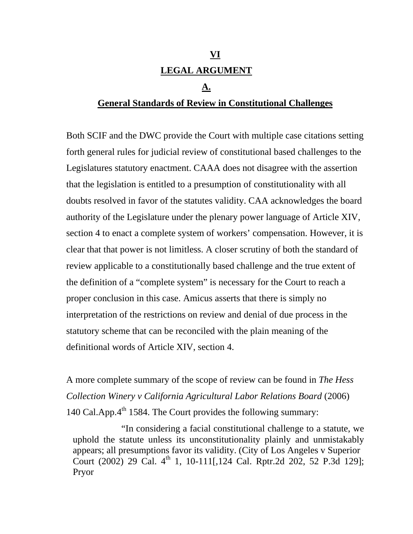# **VI LEGAL ARGUMENT**

#### **A.**

### **General Standards of Review in Constitutional Challenges**

Both SCIF and the DWC provide the Court with multiple case citations setting forth general rules for judicial review of constitutional based challenges to the Legislatures statutory enactment. CAAA does not disagree with the assertion that the legislation is entitled to a presumption of constitutionality with all doubts resolved in favor of the statutes validity. CAA acknowledges the board authority of the Legislature under the plenary power language of Article XIV, section 4 to enact a complete system of workers' compensation. However, it is clear that that power is not limitless. A closer scrutiny of both the standard of review applicable to a constitutionally based challenge and the true extent of the definition of a "complete system" is necessary for the Court to reach a proper conclusion in this case. Amicus asserts that there is simply no interpretation of the restrictions on review and denial of due process in the statutory scheme that can be reconciled with the plain meaning of the definitional words of Article XIV, section 4.

A more complete summary of the scope of review can be found in *The Hess Collection Winery v California Agricultural Labor Relations Board* (2006) 140 Cal.App.4<sup>th</sup> 1584. The Court provides the following summary:

"In considering a facial constitutional challenge to a statute, we uphold the statute unless its unconstitutionality plainly and unmistakably appears; all presumptions favor its validity. (City of Los Angeles v Superior Court (2002) 29 Cal. 4<sup>th</sup> 1, 10-111[,124 Cal. Rptr.2d 202, 52 P.3d 129]; Pryor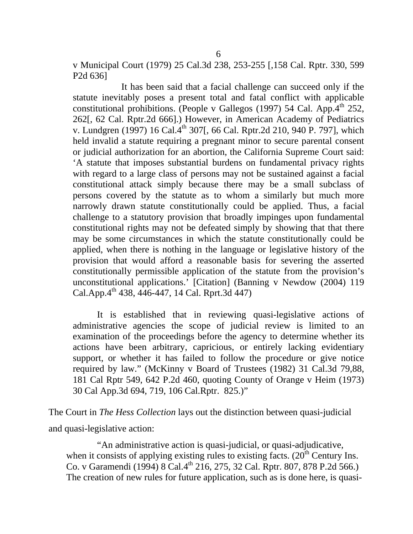v Municipal Court (1979) 25 Cal.3d 238, 253-255 [,158 Cal. Rptr. 330, 599 P2d 636]

It has been said that a facial challenge can succeed only if the statute inevitably poses a present total and fatal conflict with applicable constitutional prohibitions. (People v Gallegos (1997) 54 Cal. App. $4<sup>th</sup> 252$ , 262[, 62 Cal. Rptr.2d 666].) However, in American Academy of Pediatrics v. Lundgren (1997) 16 Cal.4<sup>th</sup> 307[, 66 Cal. Rptr.2d 210, 940 P. 797], which held invalid a statute requiring a pregnant minor to secure parental consent or judicial authorization for an abortion, the California Supreme Court said: 'A statute that imposes substantial burdens on fundamental privacy rights with regard to a large class of persons may not be sustained against a facial constitutional attack simply because there may be a small subclass of persons covered by the statute as to whom a similarly but much more narrowly drawn statute constitutionally could be applied. Thus, a facial challenge to a statutory provision that broadly impinges upon fundamental constitutional rights may not be defeated simply by showing that that there may be some circumstances in which the statute constitutionally could be applied, when there is nothing in the language or legislative history of the provision that would afford a reasonable basis for severing the asserted constitutionally permissible application of the statute from the provision's unconstitutional applications.' [Citation] (Banning v Newdow (2004) 119  $CalApp.4<sup>th</sup> 438, 446-447, 14 Cal. Rprt.3d 447)$ 

It is established that in reviewing quasi-legislative actions of administrative agencies the scope of judicial review is limited to an examination of the proceedings before the agency to determine whether its actions have been arbitrary, capricious, or entirely lacking evidentiary support, or whether it has failed to follow the procedure or give notice required by law." (McKinny v Board of Trustees (1982) 31 Cal.3d 79,88, 181 Cal Rptr 549, 642 P.2d 460, quoting County of Orange v Heim (1973) 30 Cal App.3d 694, 719, 106 Cal.Rptr. 825.)"

The Court in *The Hess Collection* lays out the distinction between quasi-judicial and quasi-legislative action:

"An administrative action is quasi-judicial, or quasi-adjudicative, when it consists of applying existing rules to existing facts.  $(20<sup>th</sup>$  Century Ins. Co. v Garamendi (1994) 8 Cal.4<sup>th</sup> 216, 275, 32 Cal. Rptr. 807, 878 P.2d 566.) The creation of new rules for future application, such as is done here, is quasi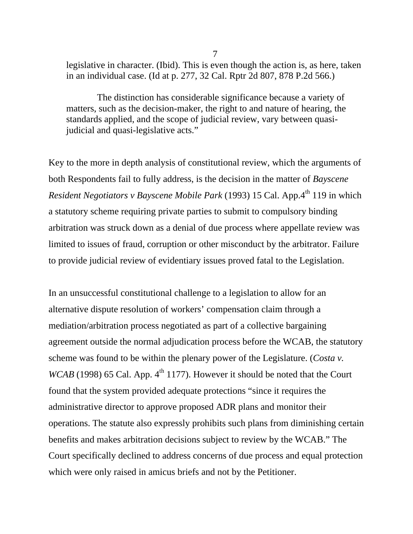legislative in character. (Ibid). This is even though the action is, as here, taken in an individual case. (Id at p. 277, 32 Cal. Rptr 2d 807, 878 P.2d 566.)

The distinction has considerable significance because a variety of matters, such as the decision-maker, the right to and nature of hearing, the standards applied, and the scope of judicial review, vary between quasijudicial and quasi-legislative acts."

Key to the more in depth analysis of constitutional review, which the arguments of both Respondents fail to fully address, is the decision in the matter of *Bayscene Resident Negotiators v Bayscene Mobile Park* (1993) 15 Cal. App.4<sup>th</sup> 119 in which a statutory scheme requiring private parties to submit to compulsory binding arbitration was struck down as a denial of due process where appellate review was limited to issues of fraud, corruption or other misconduct by the arbitrator. Failure to provide judicial review of evidentiary issues proved fatal to the Legislation.

In an unsuccessful constitutional challenge to a legislation to allow for an alternative dispute resolution of workers' compensation claim through a mediation/arbitration process negotiated as part of a collective bargaining agreement outside the normal adjudication process before the WCAB, the statutory scheme was found to be within the plenary power of the Legislature. (*Costa v.*   $WCAB$  (1998) 65 Cal. App.  $4<sup>th</sup>$  1177). However it should be noted that the Court found that the system provided adequate protections "since it requires the administrative director to approve proposed ADR plans and monitor their operations. The statute also expressly prohibits such plans from diminishing certain benefits and makes arbitration decisions subject to review by the WCAB." The Court specifically declined to address concerns of due process and equal protection which were only raised in amicus briefs and not by the Petitioner.

7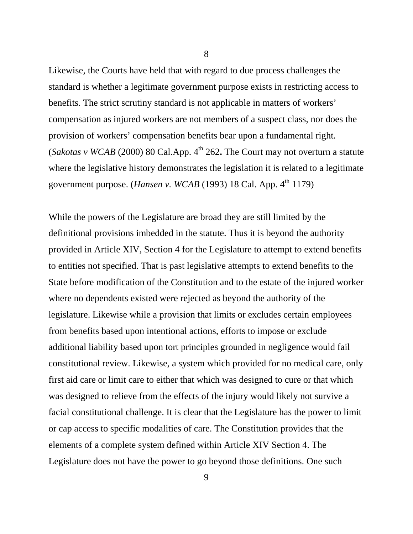Likewise, the Courts have held that with regard to due process challenges the standard is whether a legitimate government purpose exists in restricting access to benefits. The strict scrutiny standard is not applicable in matters of workers' compensation as injured workers are not members of a suspect class, nor does the provision of workers' compensation benefits bear upon a fundamental right. (*Sakotas v WCAB* (2000) 80 Cal.App.  $4<sup>th</sup>$  262. The Court may not overturn a statute where the legislative history demonstrates the legislation it is related to a legitimate government purpose. (*Hansen v. WCAB* (1993) 18 Cal. App.  $4^{\text{th}}$  1179)

While the powers of the Legislature are broad they are still limited by the definitional provisions imbedded in the statute. Thus it is beyond the authority provided in Article XIV, Section 4 for the Legislature to attempt to extend benefits to entities not specified. That is past legislative attempts to extend benefits to the State before modification of the Constitution and to the estate of the injured worker where no dependents existed were rejected as beyond the authority of the legislature. Likewise while a provision that limits or excludes certain employees from benefits based upon intentional actions, efforts to impose or exclude additional liability based upon tort principles grounded in negligence would fail constitutional review. Likewise, a system which provided for no medical care, only first aid care or limit care to either that which was designed to cure or that which was designed to relieve from the effects of the injury would likely not survive a facial constitutional challenge. It is clear that the Legislature has the power to limit or cap access to specific modalities of care. The Constitution provides that the elements of a complete system defined within Article XIV Section 4. The Legislature does not have the power to go beyond those definitions. One such

8

9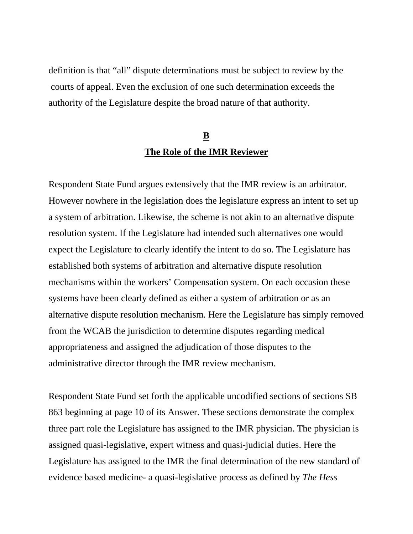definition is that "all" dispute determinations must be subject to review by the courts of appeal. Even the exclusion of one such determination exceeds the authority of the Legislature despite the broad nature of that authority.

## **B The Role of the IMR Reviewer**

Respondent State Fund argues extensively that the IMR review is an arbitrator. However nowhere in the legislation does the legislature express an intent to set up a system of arbitration. Likewise, the scheme is not akin to an alternative dispute resolution system. If the Legislature had intended such alternatives one would expect the Legislature to clearly identify the intent to do so. The Legislature has established both systems of arbitration and alternative dispute resolution mechanisms within the workers' Compensation system. On each occasion these systems have been clearly defined as either a system of arbitration or as an alternative dispute resolution mechanism. Here the Legislature has simply removed from the WCAB the jurisdiction to determine disputes regarding medical appropriateness and assigned the adjudication of those disputes to the administrative director through the IMR review mechanism.

Respondent State Fund set forth the applicable uncodified sections of sections SB 863 beginning at page 10 of its Answer. These sections demonstrate the complex three part role the Legislature has assigned to the IMR physician. The physician is assigned quasi-legislative, expert witness and quasi-judicial duties. Here the Legislature has assigned to the IMR the final determination of the new standard of evidence based medicine- a quasi-legislative process as defined by *The Hess*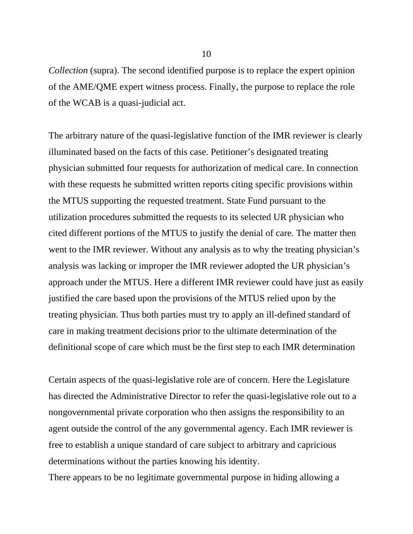*Collection* (supra). The second identified purpose is to replace the expert opinion of the AME/QME expert witness process. Finally, the purpose to replace the role of the WCAB is a quasi-judicial act.

The arbitrary nature of the quasi-legislative function of the IMR reviewer is clearly illuminated based on the facts of this case. Petitioner's designated treating physician submitted four requests for authorization of medical care. In connection with these requests he submitted written reports citing specific provisions within the MTUS supporting the requested treatment. State Fund pursuant to the utilization procedures submitted the requests to its selected UR physician who cited different portions of the MTUS to justify the denial of care. The matter then went to the IMR reviewer. Without any analysis as to why the treating physician's analysis was lacking or improper the IMR reviewer adopted the UR physician's approach under the MTUS. Here a different IMR reviewer could have just as easily justified the care based upon the provisions of the MTUS relied upon by the treating physician. Thus both parties must try to apply an ill-defined standard of care in making treatment decisions prior to the ultimate determination of the definitional scope of care which must be the first step to each IMR determination

Certain aspects of the quasi-legislative role are of concern. Here the Legislature has directed the Administrative Director to refer the quasi-legislative role out to a nongovernmental private corporation who then assigns the responsibility to an agent outside the control of the any governmental agency. Each IMR reviewer is free to establish a unique standard of care subject to arbitrary and capricious determinations without the parties knowing his identity.

There appears to be no legitimate governmental purpose in hiding allowing a

10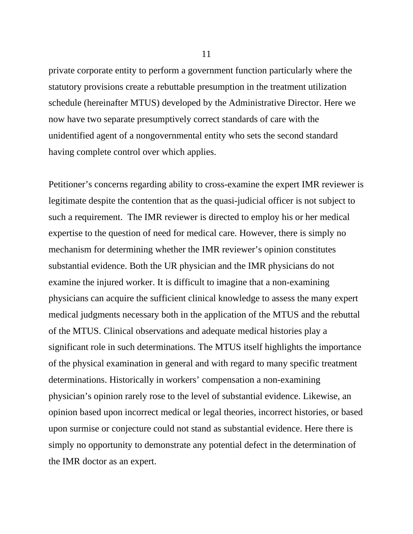private corporate entity to perform a government function particularly where the statutory provisions create a rebuttable presumption in the treatment utilization schedule (hereinafter MTUS) developed by the Administrative Director. Here we now have two separate presumptively correct standards of care with the unidentified agent of a nongovernmental entity who sets the second standard having complete control over which applies.

Petitioner's concerns regarding ability to cross-examine the expert IMR reviewer is legitimate despite the contention that as the quasi-judicial officer is not subject to such a requirement. The IMR reviewer is directed to employ his or her medical expertise to the question of need for medical care. However, there is simply no mechanism for determining whether the IMR reviewer's opinion constitutes substantial evidence. Both the UR physician and the IMR physicians do not examine the injured worker. It is difficult to imagine that a non-examining physicians can acquire the sufficient clinical knowledge to assess the many expert medical judgments necessary both in the application of the MTUS and the rebuttal of the MTUS. Clinical observations and adequate medical histories play a significant role in such determinations. The MTUS itself highlights the importance of the physical examination in general and with regard to many specific treatment determinations. Historically in workers' compensation a non-examining physician's opinion rarely rose to the level of substantial evidence. Likewise, an opinion based upon incorrect medical or legal theories, incorrect histories, or based upon surmise or conjecture could not stand as substantial evidence. Here there is simply no opportunity to demonstrate any potential defect in the determination of the IMR doctor as an expert.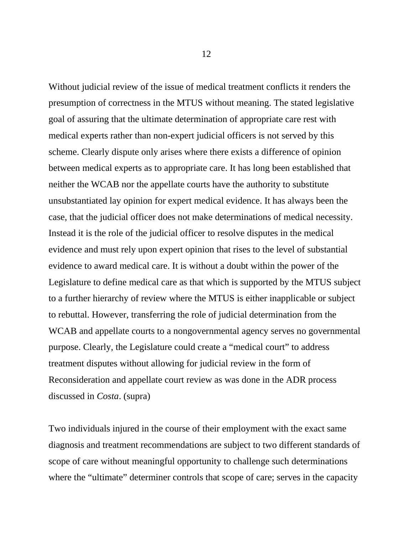Without judicial review of the issue of medical treatment conflicts it renders the presumption of correctness in the MTUS without meaning. The stated legislative goal of assuring that the ultimate determination of appropriate care rest with medical experts rather than non-expert judicial officers is not served by this scheme. Clearly dispute only arises where there exists a difference of opinion between medical experts as to appropriate care. It has long been established that neither the WCAB nor the appellate courts have the authority to substitute unsubstantiated lay opinion for expert medical evidence. It has always been the case, that the judicial officer does not make determinations of medical necessity. Instead it is the role of the judicial officer to resolve disputes in the medical evidence and must rely upon expert opinion that rises to the level of substantial evidence to award medical care. It is without a doubt within the power of the Legislature to define medical care as that which is supported by the MTUS subject to a further hierarchy of review where the MTUS is either inapplicable or subject to rebuttal. However, transferring the role of judicial determination from the WCAB and appellate courts to a nongovernmental agency serves no governmental purpose. Clearly, the Legislature could create a "medical court" to address treatment disputes without allowing for judicial review in the form of Reconsideration and appellate court review as was done in the ADR process discussed in *Costa*. (supra)

Two individuals injured in the course of their employment with the exact same diagnosis and treatment recommendations are subject to two different standards of scope of care without meaningful opportunity to challenge such determinations where the "ultimate" determiner controls that scope of care; serves in the capacity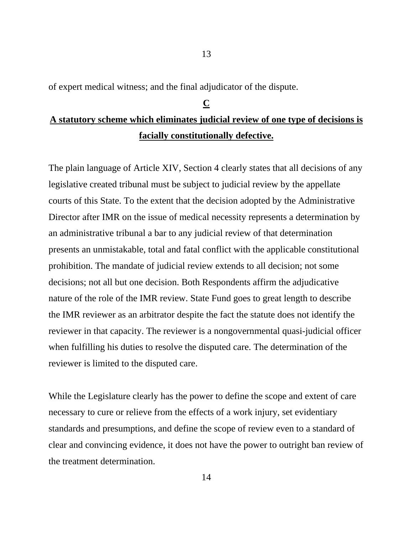of expert medical witness; and the final adjudicator of the dispute.

### **C**

13

## **A statutory scheme which eliminates judicial review of one type of decisions is facially constitutionally defective.**

The plain language of Article XIV, Section 4 clearly states that all decisions of any legislative created tribunal must be subject to judicial review by the appellate courts of this State. To the extent that the decision adopted by the Administrative Director after IMR on the issue of medical necessity represents a determination by an administrative tribunal a bar to any judicial review of that determination presents an unmistakable, total and fatal conflict with the applicable constitutional prohibition. The mandate of judicial review extends to all decision; not some decisions; not all but one decision. Both Respondents affirm the adjudicative nature of the role of the IMR review. State Fund goes to great length to describe the IMR reviewer as an arbitrator despite the fact the statute does not identify the reviewer in that capacity. The reviewer is a nongovernmental quasi-judicial officer when fulfilling his duties to resolve the disputed care. The determination of the reviewer is limited to the disputed care.

While the Legislature clearly has the power to define the scope and extent of care necessary to cure or relieve from the effects of a work injury, set evidentiary standards and presumptions, and define the scope of review even to a standard of clear and convincing evidence, it does not have the power to outright ban review of the treatment determination.

14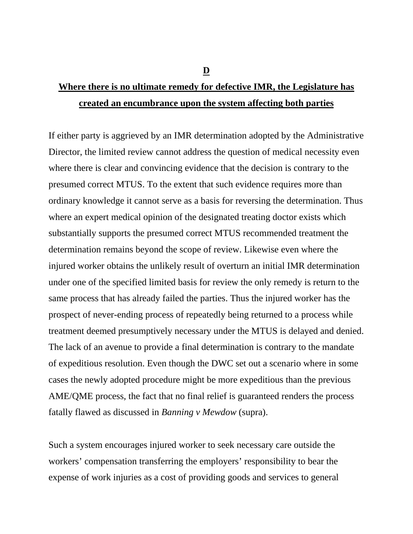# **Where there is no ultimate remedy for defective IMR, the Legislature has created an encumbrance upon the system affecting both parties**

If either party is aggrieved by an IMR determination adopted by the Administrative Director, the limited review cannot address the question of medical necessity even where there is clear and convincing evidence that the decision is contrary to the presumed correct MTUS. To the extent that such evidence requires more than ordinary knowledge it cannot serve as a basis for reversing the determination. Thus where an expert medical opinion of the designated treating doctor exists which substantially supports the presumed correct MTUS recommended treatment the determination remains beyond the scope of review. Likewise even where the injured worker obtains the unlikely result of overturn an initial IMR determination under one of the specified limited basis for review the only remedy is return to the same process that has already failed the parties. Thus the injured worker has the prospect of never-ending process of repeatedly being returned to a process while treatment deemed presumptively necessary under the MTUS is delayed and denied. The lack of an avenue to provide a final determination is contrary to the mandate of expeditious resolution. Even though the DWC set out a scenario where in some cases the newly adopted procedure might be more expeditious than the previous AME/QME process, the fact that no final relief is guaranteed renders the process fatally flawed as discussed in *Banning v Mewdow* (supra).

Such a system encourages injured worker to seek necessary care outside the workers' compensation transferring the employers' responsibility to bear the expense of work injuries as a cost of providing goods and services to general

**D**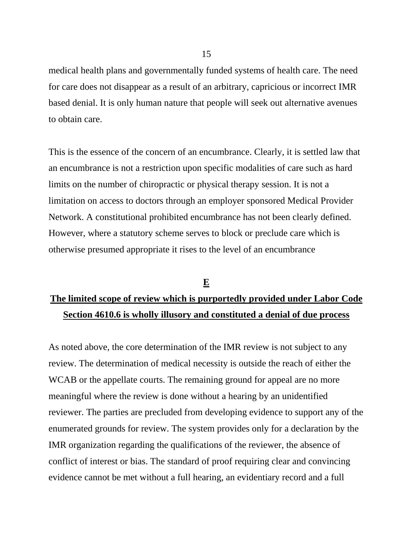medical health plans and governmentally funded systems of health care. The need for care does not disappear as a result of an arbitrary, capricious or incorrect IMR based denial. It is only human nature that people will seek out alternative avenues to obtain care.

This is the essence of the concern of an encumbrance. Clearly, it is settled law that an encumbrance is not a restriction upon specific modalities of care such as hard limits on the number of chiropractic or physical therapy session. It is not a limitation on access to doctors through an employer sponsored Medical Provider Network. A constitutional prohibited encumbrance has not been clearly defined. However, where a statutory scheme serves to block or preclude care which is otherwise presumed appropriate it rises to the level of an encumbrance

# **E The limited scope of review which is purportedly provided under Labor Code Section 4610.6 is wholly illusory and constituted a denial of due process**

As noted above, the core determination of the IMR review is not subject to any review. The determination of medical necessity is outside the reach of either the WCAB or the appellate courts. The remaining ground for appeal are no more meaningful where the review is done without a hearing by an unidentified reviewer. The parties are precluded from developing evidence to support any of the enumerated grounds for review. The system provides only for a declaration by the IMR organization regarding the qualifications of the reviewer, the absence of conflict of interest or bias. The standard of proof requiring clear and convincing evidence cannot be met without a full hearing, an evidentiary record and a full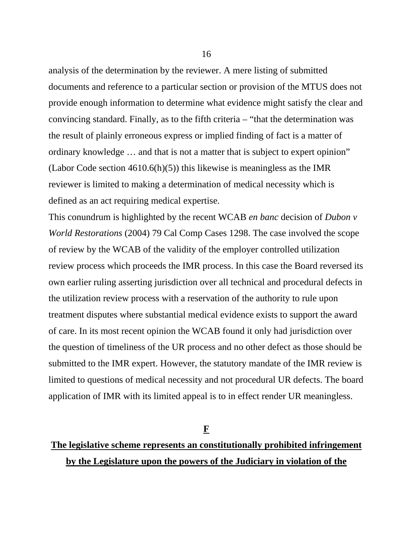analysis of the determination by the reviewer. A mere listing of submitted documents and reference to a particular section or provision of the MTUS does not provide enough information to determine what evidence might satisfy the clear and convincing standard. Finally, as to the fifth criteria – "that the determination was the result of plainly erroneous express or implied finding of fact is a matter of ordinary knowledge … and that is not a matter that is subject to expert opinion" (Labor Code section  $4610.6(h)(5)$ ) this likewise is meaningless as the IMR reviewer is limited to making a determination of medical necessity which is defined as an act requiring medical expertise.

This conundrum is highlighted by the recent WCAB *en banc* decision of *Dubon v World Restorations* (2004) 79 Cal Comp Cases 1298. The case involved the scope of review by the WCAB of the validity of the employer controlled utilization review process which proceeds the IMR process. In this case the Board reversed its own earlier ruling asserting jurisdiction over all technical and procedural defects in the utilization review process with a reservation of the authority to rule upon treatment disputes where substantial medical evidence exists to support the award of care. In its most recent opinion the WCAB found it only had jurisdiction over the question of timeliness of the UR process and no other defect as those should be submitted to the IMR expert. However, the statutory mandate of the IMR review is limited to questions of medical necessity and not procedural UR defects. The board application of IMR with its limited appeal is to in effect render UR meaningless.

**F**

## **The legislative scheme represents an constitutionally prohibited infringement by the Legislature upon the powers of the Judiciary in violation of the**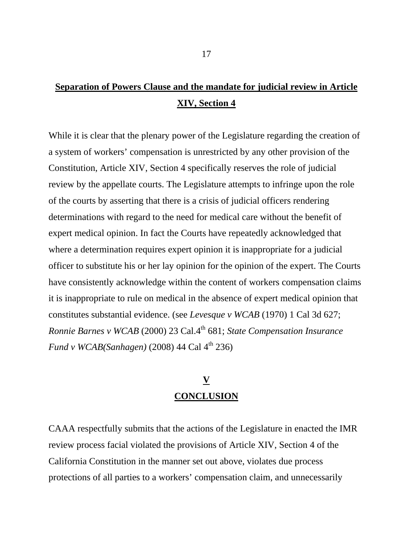## **Separation of Powers Clause and the mandate for judicial review in Article XIV, Section 4**

While it is clear that the plenary power of the Legislature regarding the creation of a system of workers' compensation is unrestricted by any other provision of the Constitution, Article XIV, Section 4 specifically reserves the role of judicial review by the appellate courts. The Legislature attempts to infringe upon the role of the courts by asserting that there is a crisis of judicial officers rendering determinations with regard to the need for medical care without the benefit of expert medical opinion. In fact the Courts have repeatedly acknowledged that where a determination requires expert opinion it is inappropriate for a judicial officer to substitute his or her lay opinion for the opinion of the expert. The Courts have consistently acknowledge within the content of workers compensation claims it is inappropriate to rule on medical in the absence of expert medical opinion that constitutes substantial evidence. (see *Levesque v WCAB* (1970) 1 Cal 3d 627; *Ronnie Barnes v WCAB* (2000) 23 Cal.4<sup>th</sup> 681; *State Compensation Insurance Fund v WCAB*(*Sanhagen*) (2008) 44 Cal 4<sup>th</sup> 236)

## **V CONCLUSION**

CAAA respectfully submits that the actions of the Legislature in enacted the IMR review process facial violated the provisions of Article XIV, Section 4 of the California Constitution in the manner set out above, violates due process protections of all parties to a workers' compensation claim, and unnecessarily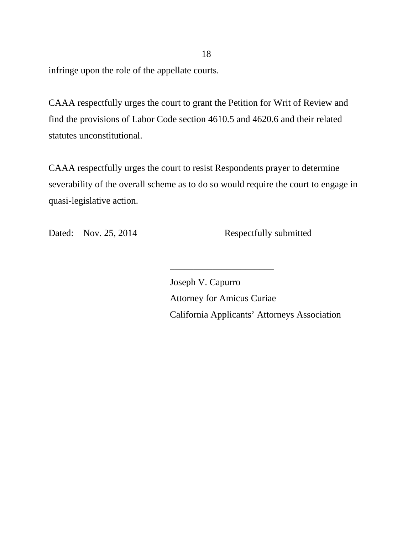infringe upon the role of the appellate courts.

CAAA respectfully urges the court to grant the Petition for Writ of Review and find the provisions of Labor Code section 4610.5 and 4620.6 and their related statutes unconstitutional.

CAAA respectfully urges the court to resist Respondents prayer to determine severability of the overall scheme as to do so would require the court to engage in quasi-legislative action.

\_\_\_\_\_\_\_\_\_\_\_\_\_\_\_\_\_\_\_\_\_\_

Dated: Nov. 25, 2014 Respectfully submitted

Joseph V. Capurro Attorney for Amicus Curiae California Applicants' Attorneys Association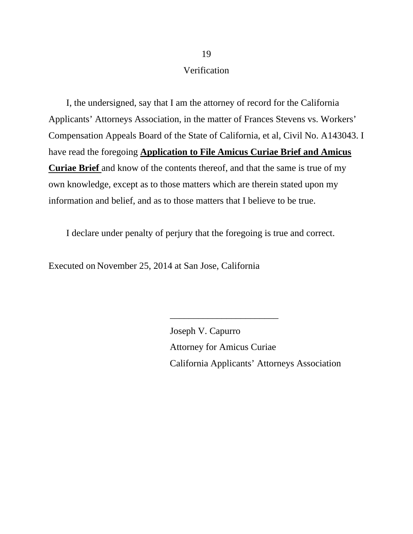#### Verification

I, the undersigned, say that I am the attorney of record for the California Applicants' Attorneys Association, in the matter of Frances Stevens vs. Workers' Compensation Appeals Board of the State of California, et al, Civil No. A143043. I have read the foregoing **Application to File Amicus Curiae Brief and Amicus Curiae Brief** and know of the contents thereof, and that the same is true of my own knowledge, except as to those matters which are therein stated upon my information and belief, and as to those matters that I believe to be true.

I declare under penalty of perjury that the foregoing is true and correct.

Executed on November 25, 2014 at San Jose, California

Joseph V. Capurro Attorney for Amicus Curiae California Applicants' Attorneys Association

\_\_\_\_\_\_\_\_\_\_\_\_\_\_\_\_\_\_\_\_\_\_\_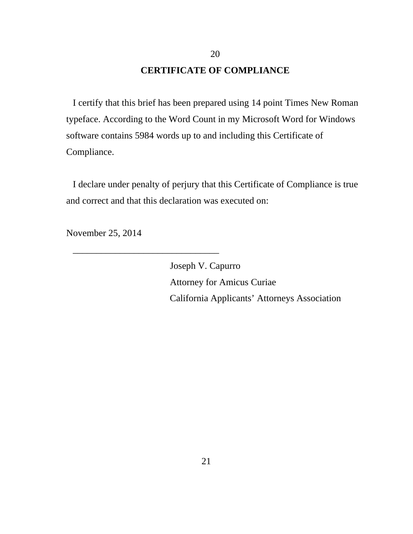#### **CERTIFICATE OF COMPLIANCE**

20

I certify that this brief has been prepared using 14 point Times New Roman typeface. According to the Word Count in my Microsoft Word for Windows software contains 5984 words up to and including this Certificate of Compliance.

I declare under penalty of perjury that this Certificate of Compliance is true and correct and that this declaration was executed on:

November 25, 2014

\_\_\_\_\_\_\_\_\_\_\_\_\_\_\_\_\_\_\_\_\_\_\_\_\_\_\_\_\_\_\_

Joseph V. Capurro Attorney for Amicus Curiae California Applicants' Attorneys Association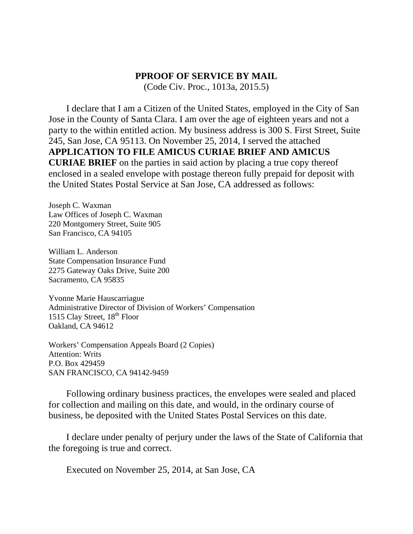#### **PPROOF OF SERVICE BY MAIL**

(Code Civ. Proc., 1013a, 2015.5)

I declare that I am a Citizen of the United States, employed in the City of San Jose in the County of Santa Clara. I am over the age of eighteen years and not a party to the within entitled action. My business address is 300 S. First Street, Suite 245, San Jose, CA 95113. On November 25, 2014, I served the attached **APPLICATION TO FILE AMICUS CURIAE BRIEF AND AMICUS CURIAE BRIEF** on the parties in said action by placing a true copy thereof enclosed in a sealed envelope with postage thereon fully prepaid for deposit with the United States Postal Service at San Jose, CA addressed as follows:

Joseph C. Waxman Law Offices of Joseph C. Waxman 220 Montgomery Street, Suite 905 San Francisco, CA 94105

William L. Anderson State Compensation Insurance Fund 2275 Gateway Oaks Drive, Suite 200 Sacramento, CA 95835

Yvonne Marie Hauscarriague Administrative Director of Division of Workers' Compensation 1515 Clay Street, 18<sup>th</sup> Floor Oakland, CA 94612

Workers' Compensation Appeals Board (2 Copies) Attention: Writs P.O. Box 429459 SAN FRANCISCO, CA 94142-9459

Following ordinary business practices, the envelopes were sealed and placed for collection and mailing on this date, and would, in the ordinary course of business, be deposited with the United States Postal Services on this date.

I declare under penalty of perjury under the laws of the State of California that the foregoing is true and correct.

Executed on November 25, 2014, at San Jose, CA